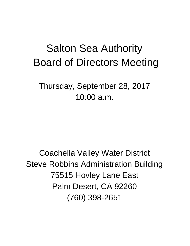# Salton Sea Authority Board of Directors Meeting

Thursday, September 28, 2017 10:00 a.m.

Coachella Valley Water District Steve Robbins Administration Building 75515 Hovley Lane East Palm Desert, CA 92260 (760) 398-2651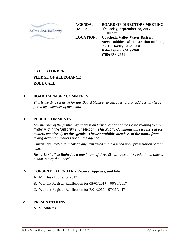

**AGENDA: DATE: LOCATION: BOARD OF DIRECTORS MEETING Thursday, September 28, 2017 10:00 a.m. Coachella Valley Water District Steve Robbins Administration Building 75515 Hovley Lane East Palm Desert, CA 92260 (760) 398-2651**

## **I. CALL TO ORDER PLEDGE OF ALLEGIANCE ROLL CALL**

#### **II. BOARD MEMBER COMMENTS**

*This is the time set aside for any Board Member to ask questions or address any issue posed by a member of the public.*

#### **III. PUBLIC COMMENTS**

*Any member of the public may address and ask questions of the Board relating to any matter within the Authority's jurisdiction. This Public Comments time is reserved for matters not already on the agenda. The law prohibits members of the Board from taking action on matters not on the agenda.*

*Citizens are invited to speak on any item listed in the agenda upon presentation of that item.*

*Remarks shall be limited to a maximum of three (3) minutes unless additional time is authorized by the Board.*

#### **IV. CONSENT CALENDAR – Receive, Approve, and File**

- A. Minutes of June 15, 2017
- B. Warrant Register Ratification for 05/01/2017 06/30/2017
- C. Warrant Register Ratification for 7/01/2017 07/31/2017

#### **V. PRESENTATIONS**

A. SEAthletes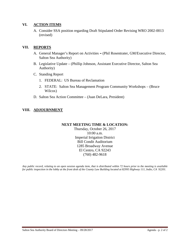#### **VI. ACTION ITEMS**

A. Consider SSA position regarding Draft Stipulated Order Revising WRO 2002-0013 (revised)

#### **VII. REPORTS**

- A. General Manager's Report on Activities **–** (Phil Rosentrater, GM/Executive Director, Salton Sea Authority)
- B. Legislative Update (Phillip Johnson, Assistant Executive Director, Salton Sea Authority)
- C. Standing Report
	- 1. FEDERAL: US Bureau of Reclamation
	- 2. STATE: Salton Sea Management Program Community Workshops (Bruce Wilcox)
- D. Salton Sea Action Committee (Juan DeLara, President)

#### **VIII. ADJOURNMENT**

#### **NEXT MEETING TIME & LOCATION:**

Thursday, October 26, 2017 10:00 a.m. Imperial Irrigation District Bill Condit Auditorium 1285 Broadway Avenue El Centro, CA 92243 (760) 482-9618

*Any public record, relating to an open session agenda item, that is distributed within 72 hours prior to the meeting is available for public inspection in the lobby at the front desk of the County Law Building located at 82995 Highway 111, Indio, CA 92201.*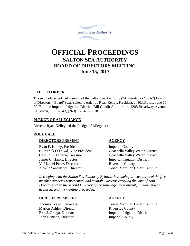

# **OFFICIAL PROCEEDINGS SALTON SEA AUTHORITY BOARD OF DIRECTORS MEETING June 15, 2017**

#### **I. CALL TO ORDER**

The regularly scheduled meeting of the Salton Sea Authority ("Authority" or "SSA") Board of Directors ("Board") was called to order by Ryan Kelley, President, at 10:13 a.m., June 15, 2017, at the Imperial Irrigation District, Bill Condit Auditorium, 1285 Broadway Avenue, El Centro, CA 92243, (760) 760-482-9618.

#### **PLEDGE OF ALLEGIANCE**

Director Ryan Kelley led the Pledge of Allegiance

#### **ROLL CALL:**

#### **DIRECTORS PRESENT AGENCY**

Ryan E. Kelley, President Imperial County G. Patrick O'Dowd, Vice President Coachella Valley Water District Cástulo R. Estrada, Treasurer Coachella Valley Water District James C. Hanks, Director **Imperial Irrigation District** V. Manuel Perez, Director Riverside County Altrena Santillanes, Director Torres Martinez Desert Cahuilla

*In keeping with the Salton Sea Authority Bylaws, there being at least three of the five member agencies represented, and a single Director carrying the vote of both Directors when the second Director of the same agency is absent, a Quorum was declared, and the meeting proceeded.*

#### **DIRECTORS ABSENT AGENCY**

Marion Ashley, Director Riverside County John Renison, Director Imperial County

Thomas Tortez, Secretary Torres Martinez Desert Cahuilla Erik J. Ortega, Director Imperial Irrigation District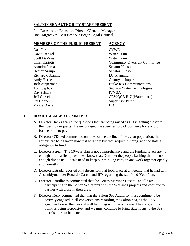#### **SALTON SEA AUTHORITY STAFF PRESENT**

Phil Rosentrater, Executive Director/General Manager Bob Hargreaves, Best Best & Krieger, Legal Counsel

#### **MEMBERS OF THE PUBLIC PRESENT AGENCY**

| Dan Farris           | <b>CVWD</b>                          |
|----------------------|--------------------------------------|
| David Rangel         | <b>Water Train</b>                   |
| <b>Scott DeVries</b> | Water Train                          |
| Imari Kariotis       | <b>Community Oversight Committee</b> |
| Alondra Perea        | <b>Senator Hueso</b>                 |
| Hector Araujo        | Senator Hueso                        |
| Richard Cabanilla    | I.C. Planning                        |
| Andy Horne           | County of Imperial                   |
| Josh Zipperman       | <b>Burke Rix Communications</b>      |
| Tom Sephton          | Sephton Water Technologies           |
| Kay Pricola          | <b>IVVGA</b>                         |
| Jeff Geraci          | CRWQCB R-7 (Waterboard)              |
| Pat Cooper           | <b>Supervisor Perez</b>              |
| Vickie Doyle         | IID                                  |

#### **II. BOARD MEMBER COMMENTS**

- A. Director Hanks shared the questions that are being raised as IID is getting closer to their petition requests. He encouraged the agencies to pick up their phone and push for the bond to pass.
- B. Director O'Dowd commented on news of the decline of the avian population, that actions are being taken now that will help but they require funding, and the state's obligation to fund.
- C. Director Perez The 10-year plan is not comprehensive and the funding levels are not enough – it is a first phase – we know that. Don't let the people bashing that it's not enough divide us. Locals need to keep our thinking caps on and work together openly and honestly.
- D. Director Estrada reported on a discussion that took place at a meeting that he had with Assemblymember Eduardo Garcia and IID regarding the state's 10-Year Plan.
- E. Director Santillanes commented that the Torres Martinez Desert Cahuilla are participating in the Salton Sea efforts with the Wetlands projects and continue to partner with those in their area.
- F. Director Kelly commented that that the Salton Sea Authority must continue to be actively engaged in all conversations regarding the Salton Sea, as the SSA agencies border the Sea and will be living with the outcome. The state, at this point, is being responsive, and we must continue to bring state focus to the Sea – there's more to be done.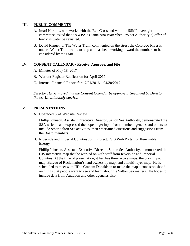#### **III. PUBLIC COMMENTS**

- A. Imari Kariotis, who works with the Red Cross and with the SSMP oversight committee, asked that SAWPA's (Santa Ana Watershed Project Authority's) offer of brackish water be revisited.
- B. David Rangel, of The Water Train, commented on the stress the Colorado River is under. Water Train wants to help and has been working toward the numbers to be considered by the State.

#### **IV. CONSENT CALENDAR – Receive, Approve, and File**

- A. Minutes of May 18, 2017
- B. Warrant Register Ratification for April 2017
- C. Internal Financial Report for: 7/01/2016 04/30/2017

*Director Hanks moved that the Consent Calendar be approved. Seconded by Director Perez. Unanimously carried.*

#### **V. PRESENTATIONS**

A. Upgraded SSA Website Review

Phillip Johnson, Assistant Executive Director, Salton Sea Authority, demonstrated the SSA website and expressed the hope to get input from member agencies and others to include other Salton Sea activities, then entertained questions and suggestions from the Board members.

B. Riverside and Imperial Counties Joint Project: GIS Web Portal for Renewable Energy

Phillip Johnson, Assistant Executive Director, Salton Sea Authority, demonstrated the GIS interactive map that he worked on with staff from Riverside and Imperial Counties. At the time of presentation, it had has three active maps: the odor impact map, Bureau of Reclamation's land ownership map, and a multi-layer map. He is scheduled to meet with IID's Graham Donaldson to make the map a "one stop shop" on things that people want to see and learn about the Salton Sea matters. He hopes to include data from Audubon and other agencies also.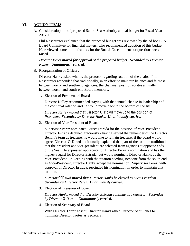#### **VI. ACTION ITEMS**

A. Consider adoption of proposed Salton Sea Authority annual budget for Fiscal Year 2017-18

Phil Rosentrater explained that the proposed budget was reviewed by the ad hoc SSA Board Committee for financial matters, who recommended adoption of this budget. He reviewed some of the features for the Board. No comments or questions were raised.

*Director Perez moved for approval of the proposed budget. Seconded by Director Kelley. Unanimously carried.*

B. Reorganization of Officers

Director Hanks asked what is the protocol regarding rotation of the chairs. Phil Rosentrater responded that traditionally, in an effort to maintain balance and fairness between north- and south-end agencies, the chairman position rotates annually between north- and south-end Board members.

1. Election of President of Board

Director Kelley recommended staying with that annual change in leadership and the continual rotation and he would move back to the bottom of the list.

*Director Kelley moved that Director O'Dowd move up to the position of President. Seconded by Director Hanks. Unanimously carried.*

2. Election of Vice-President of Board

Supervisor Perez nominated Direct Estrada for the position of Vice-President. Director Estrada declined graciously - having served the remainder of the Director Benoit's term as treasure, he would like to remain treasurer if the board would agree. Director O'Dowd additionally explained that part of the rotation tradition is that the president and vice-president are selected from agencies at opposite ends of the Sea. He expressed appreciate for Director Perez's nomination and has the highest regard for Director Estrada, but would nominate Director Hanks as the Vice-President. In keeping with the rotation needing someone from the south end as Vice-President, Director Hanks accept the nomination. Supervisor Perez, with approval of Director Estrada, rescinded his nomination in order to maintain that rotation.

*Director O'Dowd moved that Director Hanks be elected as Vice-President. Seconded by Director Perez. Unanimously carried.*

3. Election of Treasurer of Board

*Director Hanks moved that Director Estrada continue as Treasurer. Seconded by Director O'Dowd. Unanimously carried.*

4. Election of Secretary of Board

With Director Tortez absent, Director Hanks asked Director Santillanes to nominate Director Tortez as Secretary..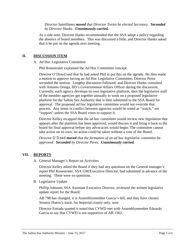#### *Director Santillanes moved that Director Tortez be elected Secretary. Seconded by Director Hanks. Unanimously carried.*

As a side note, Director Hanks recommended that the SSA adopt a policy regarding the absence of board members. This was discussed a little, and Director Hanks asked that it be put on the agenda next meeting.

#### **II. DISCUSSION ITEM**

#### A. Ad Hoc Legislative Committee

Phil Rosentrater explained the Ad Hoc Committee concept.

Director O'Dowd said that he had asked Phil to put this on the agenda. He then made a motion to approve having an Ad Hoc Legislative Committee; Director Perez seconded the motion. Lengthy discussion followed, and Director Hanks consulted with Antonio Ortega, IID's Governmental Affairs Officer during the discussion. Currently, each agency develops its own legislative platform, then the legislative staff of the member agencies get together annually to work on a proposed legislative platform for the Salton Sea Authority that is then submitted to the SSA Board for approval. The proposed ad hoc legislative committee would not override that process. Any items in conflict between agencies would be noted as "watch," not "support" unless the SSA Board votes to support it.

Director Kelley recapped that the ad hoc committee would review new legislation that appears after the platform has been approved, would discuss it and bring it back to the board for final approval before any advocacies would begin. The committee cannot take action on its own; no action could be taken without a vote of the Board.

*Director O'Dowd moved that the formation of an ad hoc legislative committee be approved. Seconded by Director Perez. Unanimously carried.*

#### **VII. REPORTS**

A. General Manager's Report on Activities

Director Kelley asked the Board if they had any questions on the General manager's report Phil Rosentrater, SSA GM/Executive Director, had submitted in advance of the meeting. There were no questions.

B. Legislative Update

Phillip Johnson, SSA Assistant Executive Director, reviewed the written legislative update report for the Board.

AB 798 has changed, it is Assemblymember Garcia's bill, and they have chosen Senator Hueso's track, for Imperial county only, now.

Director Estrada wanted it noted that CVWD met with Assemblymember Eduardo Garcia to say that CVWD is not supportive of AB 1562.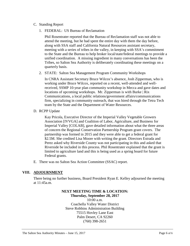- C. Standing Report
	- 1. FEDERAL: US Bureau of Reclamation

Phil Rosentrater reported that the Bureau of Reclamation staff was not able to attend the meeting, but he had spent the entire day with them the day before, along with SSA staff and California Natural Resources assistant secretary, meeting with a series of tribes in the valley, in keeping with SSA's commitment to the State and the Bureau to help broker local/state/federal meetings to provide a unified coordination. A missing ingredient in many conversations has been the Tribes, so Salton Sea Authority is deliberately coordinating these meetings on a quarterly basis.

2. STATE: Salton Sea Management Program Community Workshops

In CNRA Assistant Secretary Bruce Wilcox's absence, Josh Zipperman, who is working under Bruce Wilcox, reported on a recent, well-attended and wellreceived, SSMP 10-year plan community workshop in Mecca and gave dates and locations of upcoming workshops. Mr. Zipperman is with Burke | Rix Communications, a local public relations/government affairs/communications firm, specializing in community outreach, that was hired through the Tetra Tech team by the State and the Department of Water Resources.

D. RCPP Update

Kay Pricola, Executive Director of the Imperial Valley Vegetable Growers Association [IVVGA] and Coalition of Labor, Agriculture, and Business for Imperial Valley [COLAB], gave detailed information about what the three areas of concern the Regional Conservation Partnership Program grant covers. The partnership was formed in 2015 and they were able to get a federal grant for \$2.5M. She credited Lisa Moore with writing the grant. Directors Estrada and Perez asked why Riverside County was not participating in this and asked that Riverside be included in this process. Phil Rosentrater explained that the grant is limited to agriculture land and this is being used as a spring board for future Federal grants.

E. There was no Salton Sea Action Committee (SSAC) report.

#### **VIII. ADJOURNMENT**

There being no further business, Board President Ryan E. Kelley adjourned the meeting at 11:45a.m.

#### **NEXT MEETING TIME & LOCATION: Thursday, September 28, 2017**

10:00 a.m. Coachella Valley Water District Steve Robbins Administration Building 75515 Hovley Lane East Palm Desert, CA 92260 (760) 398-2651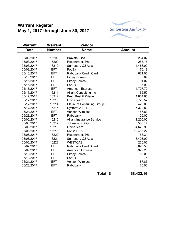# **Warrant Register May 1, 2017 through June 30, 2017**



| <b>Warrant</b> | <b>Warrant</b> | Vendor                           |               |
|----------------|----------------|----------------------------------|---------------|
| <b>Date</b>    | <b>Number</b>  | <b>Name</b>                      | <b>Amount</b> |
|                |                |                                  |               |
| 05/03/2017     | 16208          | Bravata, Lisa                    | 284.02        |
| 05/03/2017     | 16209          | Rosentrater, Phil                | 253.18        |
| 05/03/2017     | 16210          | Sampson, GJ Acct                 | 4,468.00      |
| 05/08/2017     | <b>EFT</b>     | FedEx                            | 70.18         |
| 05/10/2017     | <b>EFT</b>     | Rabobank Credit Card             | 621.05        |
| 05/10/2017     | <b>EFT</b>     | <b>Pitney Bowes</b>              | 5.69          |
| 05/15/2017     | <b>EFT</b>     | <b>Pitney Bowes</b>              | 91.02         |
| 05/16/2017     | EFT.           | FedEx                            | 36.99         |
| 05/16/2017     | <b>EFT</b>     | <b>American Express</b>          | 4,707.70      |
| 05/17/2017     | 16211          | <b>Alliant Consulting Inc</b>    | 162.50        |
| 05/17/2017     | 16212          | Best, Best & Krieger             | 4,804.65      |
| 05/17/2017     | 16213          | OfficeTeam                       | 9,726.52      |
| 05/17/2017     | 16214          | Platinum Consulting Group L      | 425.00        |
| 05/17/2017     | 16215          | SystemGo IT LLC                  | 7,322.83      |
| 05/24/2017     | <b>EFT</b>     | <b>Verizon Wireless</b>          | 187.83        |
| 05/28/2017     | <b>EFT</b>     | Rabobank                         | 25.00         |
| 06/06/2017     | 16216          | <b>Alliant Insurance Service</b> | 1,200.00      |
| 06/06/2017     | 16217          | Johnson, Phillip                 | 508.14        |
| 06/06/2017     | 16218          | OfficeTeam                       | 4,670.90      |
| 06/06/2017     | 16219          | RivCo EDA                        | 13,466.22     |
| 06/06/2017     | 16220          | Rosentrater, Phil                | 58.31         |
| 06/06/2017     | 16221          | Sampson, GJ Acct                 | 6,403.00      |
| 06/06/2017     | 16222          | <b>WESTCAS</b>                   | 220.00        |
| 06/07/2017     | <b>EFT</b>     | Rabobank Credit Card             | 3,023.53      |
| 06/09/2017     | <b>EFT</b>     | <b>American Express</b>          | 5,379.23      |
| 06/10/2017     | <b>EFT</b>     | <b>Pitney Bowes</b>              | 88.09         |
| 06/19/2017     | <b>EFT</b>     | FedEx                            | 9.75          |
| 06/21/2017     | <b>EFT</b>     | <b>Verizon Wireless</b>          | 187.83        |
| 06/28/2017     | <b>EFT</b>     | Rabobank                         | 25.00         |

Total \$ 68,432.16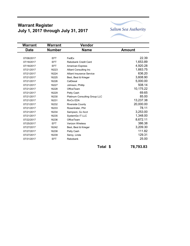# **Warrant Register July 1, 2017 through July 31, 2017**



| Warrant       | Vendor                           |               |
|---------------|----------------------------------|---------------|
| <b>Number</b> | <b>Name</b>                      | <b>Amount</b> |
|               |                                  |               |
| <b>EFT</b>    | FedEx                            | 22.39         |
| <b>EFT</b>    | Rabobank Credit Card             | 1,653.89      |
| <b>EFT</b>    | <b>American Express</b>          | 4,920.28      |
| 16223         | <b>Alliant Consulting Inc.</b>   | 1,663.75      |
| 16224         | <b>Alliant Insurance Service</b> | 636.20        |
| 16225         | Best, Best & Krieger             | 3,608.90      |
| 16226         | CalDesal                         | 5,000.00      |
| 16227         | Johnson, Phillip                 | 508.14        |
| 16228         | OfficeTeam                       | 10,175.22     |
| 16229         | Petty Cash                       | 69.65         |
| 16230         | Platinum Consulting Group LLC    | 85.00         |
| 16231         | RivCo EDA                        | 13,237.38     |
| 16232         | <b>Riverside County</b>          | 20,000.00     |
| 16233         | Rosentrater, Phil                | 78.11         |
| 16234         | Sampson, GJ Acct                 | 3,253.00      |
| 16235         | SystemGo IT LLC                  | 1,348.00      |
| 16236         | OfficeTeam                       | 8,672.11      |
| <b>EFT</b>    | <b>Verizon Wireless</b>          | 386.38        |
| 16242         | Best, Best & Krieger             | 3,209.30      |
| 16238         | Petty Cash                       | 111.82        |
| 16239         | Seroy, Linda                     | 129.31        |
| <b>EFT</b>    | Rabobank                         | 25.00         |
|               |                                  |               |

**Total \$** 78,793.83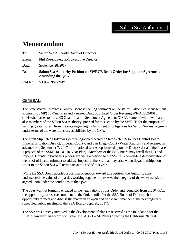# Salton Sea Authority

# **Memorandum**

| To:    | Salton Sea Authority Board of Directors                                                                      |
|--------|--------------------------------------------------------------------------------------------------------------|
| From:  | Phil Rosentrater, GM/Executive Director                                                                      |
| Date:  | September 28, 2017                                                                                           |
| Re:    | <b>Salton Sea Authority Position on SWRCB Draft Order for Stipulate Agreement</b><br><b>Amending the QSA</b> |
| CM No. | $VI.A - 09/28/2017$                                                                                          |

#### **GENERAL:**

The State Water Resources Control Board is seeking comment on the state's Salton Sea Management Program (SSMP) 10-Year Plan and a related Draft Stipulated Order Revising WRO 2002-0013 (revised). Parties to the 2003 Quantification Settlement Agreement (QSA), some of whom who are also members of the Salton Sea Authority, pressed for this action by the SWRCB for the purpose of gaining greater surety from the state regarding its fulfilment of obligations for Salton Sea management under terms of the water transfers established by the QSA.

The Draft Stipulated Order was jointly negotiated between State Water Resources Control Board, Imperial Irrigation District, Imperial County, and San Diego County Water Authority and released in advance of a September 7, 2017 informational workshop focused upon the Draft Order and the Phase 1 projects of the SSMP (a.k.a., 10-Year Plan). Members of the SSA Board may recall that IID and Imperial County initiated this process by filing a petition to the SWRCB demanding demonstration of the proof of its commitment to address impacts at the Sea that may arise when flows of mitigation water to the Salton Sea will terminate at the end of this year.

While the SSA Board adopted a position of support toward this petition, the Authority also underscored the value of all parties working together to preserve the integrity of the water transfers agreed upon under the conditions of the QSA.

The SSA was not formally engaged in the negotiations of this Order and requested from the SWRCB the opportunity to reserve comment on the Order until after the SSA Board of Directors had opportunity to meet and discuss the matter in an open and transparent manner at the next regularly scheduled public meeting of the SSA Board (Sept. 28, 2017).

The SSA was directly involved in the development of plans that served as the foundation for the SSMP, however. In accord with state law (AB 71 – M. Perez) directing the California Natural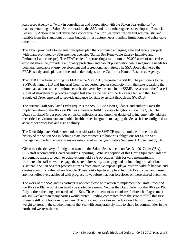Resources Agency to "work in consultation and cooperation with the Salton Sea Authority" on matters pertaining to Salton Sea restoration, the SSA and its member agencies developed a Financial Feasibility Action Plan that delivered a conceptual plan for Sea revitalization that was realistic and feasible from the standpoint of water budget, infrastructure needs, funding limitations, and achievable timelines.

The FFAP provided a long-term conceptual plan that combined emerging state and federal projects with plans promoted by SSA member agencies (Salton Sea Renewable Energy Initiative and Perimeter Lake concepts). The FFAP called for protecting a minimum of 30,000 acres of otherwise exposed shoreline, providing air quality protection and habitat preservation while integrating needs for potential renewable energy development and recreational activities. The SSA Board delivered the FFAP as a dynamic plan, on time and under budget, to the California Natural Resources Agency.

The CNRA has been refining the FFAP since May 2015, to create the SSMP. The petitioners to the SWRCB, namely IID and Imperial County, requested greater specificity from the state regarding the immediate actions and commitments to be delivered by the state in the SSMP. As a result, the Phase 1 subset of shovel-ready projects emerged last year as the basis of the 10-Year Plan, and the Draft Stipulated Order emerged to provide guidance for state oversight through the SWRCB.

The current Draft Stipulated Order requests the SWRCB to assert guidance and authority over the implementation of the 10-Year Plan as a means to fulfil the state obligations under the QSA. The Draft Stipulated Order provides empirical milestones and timelines designed to incrementally address the critical environmental and public health issues integral to managing the Sea as it is reconfigured to account for water loss and rising salinity.

The Draft Stipulated Order now under consideration by SWRCB marks a unique moment in the history of the Salton Sea in defining state commitments to honor its obligations for Salton Sea management under the water transfers established in the Quantitative Settlement Agreement (QSA).

Given that the delivery of mitigation water to the Salton Sea is to end on Dec 31, 2017 (per QSA), SSA staff recommends Board consider supporting SWRCB adoption of this Draft Stipulated Order as a pragmatic means to begin to achieve long held SSA objectives. This forward momentum is warranted, in staff view, to engage the state in investing, managing and maintaining a smaller but sustainable Salton Sea that protects citizens from emissive exposed playa, restores wildlife habitat, and creates economic value where feasible. These SSA objectives upheld by SSA Boards past and present, are most effectively achieved with progress now, before inaction forecloses on these shared outcomes.

The work of the SSA and its partners is not completed with action to implement the Draft Order and the 10-Year Plan – but it can finally be started in earnest. Neither the Draft Order nor the 10-Year Plan fully address the long term needs of the Sea. The enforcement mechanisms for breach of agreement are still weaker than many parties would prefer. Funding committed from the state to fulfill this first Phase is still only fractionally in view. The funds and priorities in the 10-Year Plan shift enormous weight to areas in the southern end of the Sea with comparatively little to share for communities in the north and western shores.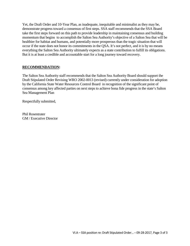Yet, the Draft Order and 10-Year Plan, as inadequate, inequitable and minimalist as they may be, demonstrate progress toward a consensus of first steps. SSA staff recommends that the SSA Board take the first steps forward on this path to provide leadership in maintaining consensus and building momentum that begins to accomplish the Salton Sea Authority's objective of a Salton Sea that will be healthier for habitat and humans, and potentially more prosperous than the tragic situation that will occur if the state does not honor its commitments in the QSA. It's not perfect, and it is by no means everything the Salton Sea Authority ultimately expects as a state contribution to fulfill its obligations. But it is at least a credible and accountable start for a long journey toward recovery.

#### **RECOMMENDATION:**

The Salton Sea Authority staff recommends that the Salton Sea Authority Board should support the Draft Stipulated Order Revising WRO 2002-0013 (revised) currently under consideration for adoption by the California State Water Resources Control Board in recognition of the significant point of consensus among key affected parties on next steps to achieve bona fide progress in the state's Salton Sea Management Plan

Respectfully submitted,

Phil Rosentrater GM / Executive Director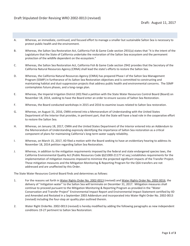- A. Whereas, an immediate, continued, and focused effort to manage a smaller but sustainable Salton Sea is necessary to protect public health and the environment.
- B. Whereas, the Salton Sea Restoration Act, California Fish & Game Code section 2931(a) states that "it is the intent of the Legislature that the State of California undertake the restoration of the Salton Sea ecosystem and the permanent protection of the wildlife dependent on the ecosystem."
- C. Whereas, the Salton Sea Restoration Act, California Fish & Game Code section 2942 provides that the Secretary of the California Natural Resources Agency (CRNA) shall lead the state's efforts to restore the Salton Sea.
- D. Whereas, the California Natural Resources Agency (CNRA) has prepared Phase I of the Salton Sea Management Program (SSMP) in furtherance of its Salton Sea Restoration objectives and is committed to constructing and maintaining habitat and dust-suppression projects that address public health and environmental concerns. The SSMP contemplates future phases, and a long-range plan.
- E. Whereas, the Imperial Irrigation District (IID) filed a petition with the State Water Resources Control Board (Board) on November 18, 2014, seeking to have the Board enter an order to ensure success of Salton Sea Restoration.
- F. Whereas, the Board conducted workshops in 2015 and 2016 to examine issues related to Salton Sea restoration.
- G. Whereas, on August 31, 2016, CNRA entered into a Memorandum of Understanding with the United States Department of the Interior that provides, in pertinent part, that the State will have a lead role in the cooperative effort to restore the Salton Sea.
- H. Whereas, on January 18, 2017, CNRA and the United States Department of the Interior entered into an Addendum to the Memorandum of Understanding expressly identifying the importance of Salton Sea restoration as a critical component of plans for maintaining California's long-term water supply reliability.
- I. Whereas, on March 15, 2017, IID filed a motion with the Board seeking to have an evidentiary hearing to address its November 18, 2014 petition regarding Salton Sea Restoration.
- J. Whereas, in addition to the mitigation requirements imposed by the federal and state endangered species laws, the California Environmental Quality Act (Public Resources Code §§21000-21177 et seq.) establishes requirements for the implementation of mitigation measures imposed to minimize the projected significant impacts of the Transfer Project. These mitigation measures and the Mitigation Monitoring & Reporting Program for the QSA transfers are not addressed and are unaffected by this Order.

The State Water Resources Control Board finds and determines as follows:

- 1. For the reasons set forth in Water Rights Order No. 2002-0013 (revised) and Water Rights Order No. 2002-0016, the delivery of "mitigation water" to the Salton Sea will terminate on December 31, 2017. Mitigation measures shall continue to proceed pursuant to the Mitigation Monitoring & Reporting Program as provided in the "Water Conservation and Transfer Project" Environmental Impact Report and Environmental Impact Statement certified by IID and Amended and Restated in a September 2003 Addendum and incorporated into Water Right Order No. 2002-0013 (revised) including the four-step air quality plan outlined therein.
- 2. Water Right OrderNo. 2002-0013 (revised) is hereby modified by adding the following paragraphs as new independent conditions 19-27 pertinent to Salton Sea Restoration: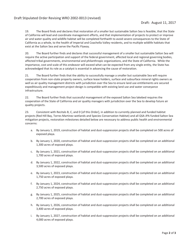19. The Board finds and declares that restoration of a smaller but sustainable Salton Sea is feasible, that the State of California will lead and coordinate management efforts, and that implementation of projects to protect or improve air and water quality and wildlife habitat will be completed forthwith to avoid severe consequences to the State of California as a whole, to the health of Imperial and Coachella Valley residents, and to multiple wildlife habitats that exist at the Salton Sea and serve the Pacific Flyway.

20. The Board further finds and declares that successful management of a smaller but sustainable Salton Sea will require the active participation and support of the federal government, affected local and regional governing bodies, affected tribal governments, environmental and philanthropic organizations, and the State of California. While the importance, cost and scale of this endeavor will exceed what can be expected from any single entity, the State has acknowledged that its role as a catalyst is essential in advancing the cause of restoration.

21. The Board further finds that the ability to successfully manage a smaller but sustainable Sea will require cooperation from non-state property owners, surface lease holders, surface and subsurface mineral rights owners as well as air quality management districts with jurisdiction over the Sea to ensure land use entitlements are secured expeditiously and management project design is compatible with existing land use and water conveyance infrastructure.

22. The Board further finds that successful management of the exposed Salton Sea lakebed requires the cooperation of the State of California and air quality managers with jurisdiction over the Sea to develop future air quality projects.

23. Consistent with Recitals B, C, and D [of this Order], in addition to currently planned and funded habitat projects (Red Hill Bay, Torres Martinez wetlands and Species Conservation Habitat) and all QSA JPA funded Salton Sea mitigation projects, restoration milestones detailed below are necessary to address public health and environmental concerns:

- a. By January 1, 2019, construction of habitat and dust-suppression projects shall be completed on 500 acres of exposed playa.
- b. By January 1, 2020, construction of habitat and dust-suppression projects shall be completed on an additional 1,300 acres of exposed playa.
- c. By January 1, 2021, construction of habitat and dust-suppression projects shall be completed on an additional 1,700 acres of exposed playa.
- d. By January 1, 2022, construction of habitat and dust-suppression projects shall be completed on an additional 3,500 acres of exposed playa.
- e. By January 1, 2023, construction of habitat and dust-suppression projects shall be completed on an additional 1,750 acres of exposed playa.
- f. By January 1, 2024, construction of habitat and dust-suppression projects shall be completed on an additional 2,750 acres of exposed playa.
- g. By January 1, 2025, construction of habitat and dust-suppression projects shall be completed on an additional 2,700 acres of exposed playa.
- h. By January 1, 2026, construction of habitat and dust-suppression projects shall be completed on an additional 3,400 acres of exposed playa.
- i. By January 1, 2027, construction of habitat and dust-suppression projects shall be completed on an additional 4,000 acres of exposed playa.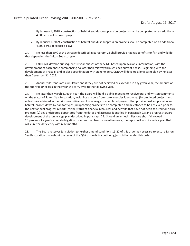- j. By January 1, 2028, construction of habitat and dust-suppression projects shall be completed on an additional 4,000 acres of exposed playa.
- k. By January 1, 2029, construction of habitat and dust-suppression projects shall be completed on an additional 4,200 acres of exposed playa.

24. No less than 50% of the acreage described in paragraph 23 shall provide habitat benefits for fish and wildlife that depend on the Salton Sea ecosystem.

25. CNRA will develop subsequent 10-year phases of the SSMP based upon available information, with the development of each phase commencing no later than midway through each current phase. Beginning with the development of Phase II, and in close coordination with stakeholders, CNRA will develop a long-term plan by no later than December 31, 2022.

26. Annual milestones are cumulative and if they are not achieved or exceeded in any given year, the amount of the shortfall or excess in that year will carry over to the following year.

27. No later than March 31 each year, the Board will hold a public meeting to receive oral and written comments on the status of Salton Sea Restoration, including a report from state agencies identifying: (i) completed projects and milestones achieved in the prior year; (ii) amount of acreage of completed projects that provide dust suppression and habitat, broken down by habitat type; (iii) upcoming projects to be completed and milestones to be achieved prior to the next annual progress report; (iv) the status of financial resources and permits that have not been secured for future projects; (v) any anticipated departures from the dates and acreages identified in paragraph 23; and progress toward development of the long-range plan described in paragraph 25. Should an annual milestone shortfall exceed 20 percent of a year's annual obligation for more than two consecutive years, the report will also include a plan that will cure the deficiency within 12 months.

28. The Board reserves jurisdiction to further amend conditions 19-27 of this order as necessary to ensure Salton Sea Restoration throughout the term of the QSA through its continuing jurisdiction under this order.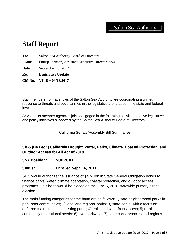# Salton Sea Authority

# **Staff Report**

**To:** Salton Sea Authority Board of Directors **From:** Phillip Johnson, Assistant Executive Director, SSA **Date:** September 28, 2017 **Re: Legislative Update CM No. VII.B – 09/28/2017**

Staff members from agencies of the Salton Sea Authority are coordinating a unified response to threats and opportunities in the legislative arena at both the state and federal levels.

\_\_\_\_\_\_\_\_\_\_\_\_\_\_\_\_\_\_\_\_\_\_\_\_\_\_\_\_\_\_\_\_\_\_\_\_\_\_\_\_\_\_\_\_\_\_\_\_\_\_\_\_\_\_\_\_\_\_\_\_\_\_\_\_\_\_\_\_\_\_\_\_\_\_\_\_\_\_

SSA and its member agencies jointly engaged in the following activities to drive legislative and policy initiatives supported by the Salton Sea Authority Board of Directors:

#### California Senate/Assembly Bill Summaries

**SB-5 (De Leon) California Drought, Water, Parks, Climate, Coastal Protection, and Outdoor Access for All Act of 2018.**

**SSA Position: SUPPORT**

#### **Status: Enrolled Sept. 16, 2017.**

SB 5 would authorize the issuance of \$4 billion in State General Obligation bonds to finance parks, water, climate adaptation, coastal protection, and outdoor access programs. This bond would be placed on the June 5, 2018 statewide primary direct election.

The main funding categories for the bond are as follows: 1) safe neighborhood parks in park-poor communities; 2) local and regional parks; 3) state parks, with a focus on deferred maintenance in existing parks; 4) trails and waterfront access; 5) rural community recreational needs; 6) river parkways; 7) state conservancies and regions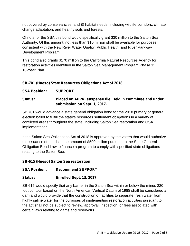not covered by conservancies; and 8) habitat needs, including wildlife corridors, climate change adaptation, and healthy soils and forests.

Of note for the SSA this bond would specifically grant \$30 million to the Salton Sea Authority. Of this amount, not less than \$10 million shall be available for purposes consistent with the New River Water Quality, Public Health, and River Parkway Development Program.

This bond also grants \$170 million to the California Natural Resources Agency for restoration activities identified in the Salton Sea Management Program Phase 1: 10-Year Plan.

### **SB-701 (Hueso) State Resources Obligations Act of 2018**

**SSA Position: SUPPORT**

#### **Status: Placed on APPR. suspense file. Held in committee and under submission on Sept. 1, 2017.**

SB 701 would advance a state general obligation bond for the 2018 primary or general election ballot to fulfill the state's resources settlement obligations in a variety of conflicted areas throughout the state, including Salton Sea restoration and QSA implementation.

If the Salton Sea Obligations Act of 2018 is approved by the voters that would authorize the issuance of bonds in the amount of \$500 million pursuant to the State General Obligation Bond Law to finance a program to comply with specified state obligations relating to the Salton Sea.

#### **SB-615 (Hueso) Salton Sea restoration**

#### **SSA Position: Recommend SUPPORT**

### **Status: Enrolled Sept. 13, 2017.**

SB 615 would specify that any barrier in the Salton Sea within or below the minus 220 foot contour based on the North American Vertical Datum of 1988 shall be considered a dam and would provide that the construction of facilities to separate fresh water from highly saline water for the purposes of implementing restoration activities pursuant to the act shall not be subject to review, approval, inspection, or fees associated with certain laws relating to dams and reservoirs.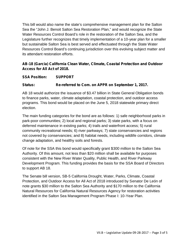This bill would also name the state's comprehensive management plan for the Salton Sea the "John J. Benoit Salton Sea Restoration Plan," and would recognize the State Water Resources Control Board's role in the restoration of the Salton Sea, and the Legislature further recognizes that timely implementation of a 10-year plan for a smaller but sustainable Salton Sea is best served and effectuated through the State Water Resources Control Board's continuing jurisdiction over this evolving subject matter and its attendant restoration efforts.

### **AB-18 (Garcia) California Clean Water, Climate, Coastal Protection and Outdoor Access for All Act of 2018.**

### **SSA Position: SUPPORT**

#### **Status: Re-referred to Com. on APPR on September 1, 2017.**

AB 18 would authorize the issuance of \$3.47 billion in State General Obligation bonds to finance parks, water, climate adaptation, coastal protection, and outdoor access programs. This bond would be placed on the June 5, 2018 statewide primary direct election.

The main funding categories for the bond are as follows: 1) safe neighborhood parks in park-poor communities; 2) local and regional parks; 3) state parks, with a focus on deferred maintenance in existing parks; 4) trails and waterfront access; 5) rural community recreational needs; 6) river parkways; 7) state conservancies and regions not covered by conservancies; and 8) habitat needs, including wildlife corridors, climate change adaptation, and healthy soils and forests.

Of note for the SSA this bond would specifically grant \$300 million to the Salton Sea Authority. Of this amount, not less than \$20 million shall be available for purposes consistent with the New River Water Quality, Public Health, and River Parkway Development Program. This funding provides the basis for the SSA Board of Directors to support AB 18.

The Senate bill version, SB-5 California Drought, Water, Parks, Climate, Coastal Protection, and Outdoor Access for All Act of 2018 introduced by Senator De León of note grants \$30 million to the Salton Sea Authority and \$170 million to the California Natural Resources for California Natural Resources Agency for restoration activities identified in the Salton Sea Management Program Phase I: 10-Year Plan.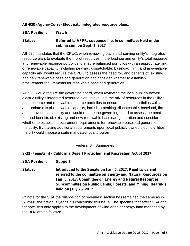#### **AB-920 (Aguiar-Curry) Electricity: integrated resource plans.**

#### **SSA Position: Watch**

#### **Status: Referred to APPR. suspense file. In committee: Held under submission on Sept. 1, 2017**

AB 920 mandates that the CPUC, when reviewing each load-serving entity's integrated resource plan, to evaluate the mix of resources in the load-serving entity's total resource and renewable resource portfolios to ensure balanced portfolios with an appropriate mix of renewable capacity, including peaking, dispatchable, baseload, firm, and as-available capacity and would require the CPUC to assess the need for, and benefits of, existing and new renewable baseload generation and consider whether to establish procurement requirements for renewable baseload generation.

AB 920 would require the governing board, when reviewing the local publicly owned electric utility's integrated resource plan, to evaluate the mix of resources in the utility's total resource and renewable resource portfolios to ensure balanced portfolios with an appropriate mix of renewable capacity, including peaking, dispatchable, baseload, firm, and as-available capacity and would require the governing board to assess the need for, and benefits of, existing and new renewable baseload generation and consider whether to establish procurement requirements for renewable baseload generation for the utility. By placing additional requirements upon local publicly owned electric utilities, the bill would impose a state mandated local program.

#### Federal Bill Summaries

#### **S-32 (Feinstein) - California Desert Protection and Recreation Act of 2017**

- **SSA Position: Support**
- **Status: Introduced to the Senate on Jan. 5, 2017. Read twice and referred to the committee on Energy and Natural Resources on Jan. 5, 2017. Committee on Energy and Natural Resources Subcommittee on Public Lands, Forests, and Mining. Hearings held on July 26, 2017.**

Of note for the SSA the "disposition of revenues" section has remained the same as in S. 2568, the previous year's bill concerning this issue. The specifics that affect SSA and "of note" this only applies to the development of wind or solar energy land managed by the BLM are as follows: